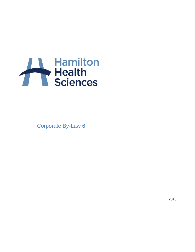

Corporate By-Law 6

2018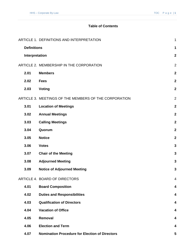# **Table of Contents**

|                    | ARTICLE 1. DEFINITIONS AND INTERPRETATION             | $\mathbf 1$             |
|--------------------|-------------------------------------------------------|-------------------------|
| <b>Definitions</b> |                                                       | 1                       |
| Interpretation     |                                                       | $\overline{\mathbf{2}}$ |
|                    | ARTICLE 2. MEMBERSHIP IN THE CORPORATION              | $\overline{2}$          |
| 2.01               | <b>Members</b>                                        | $\overline{\mathbf{2}}$ |
| 2.02               | <b>Fees</b>                                           | $\overline{\mathbf{2}}$ |
| 2.03               | <b>Voting</b>                                         | $\overline{\mathbf{2}}$ |
|                    | ARTICLE 3. MEETINGS OF THE MEMBERS OF THE CORPORATION | $\overline{2}$          |
| 3.01               | <b>Location of Meetings</b>                           | $\overline{\mathbf{2}}$ |
| 3.02               | <b>Annual Meetings</b>                                | $\overline{2}$          |
| 3.03               | <b>Calling Meetings</b>                               | $\overline{\mathbf{2}}$ |
| 3.04               | Quorum                                                | $\overline{\mathbf{2}}$ |
| 3.05               | <b>Notice</b>                                         | $\overline{\mathbf{2}}$ |
| 3.06               | <b>Votes</b>                                          | 3                       |
| 3.07               | <b>Chair of the Meeting</b>                           | 3                       |
| 3.08               | <b>Adjourned Meeting</b>                              | 3                       |
| 3.09               | <b>Notice of Adjourned Meeting</b>                    | 3                       |
|                    | ARTICLE 4. BOARD OF DIRECTORS                         | 4                       |
| 4.01               | <b>Board Composition</b>                              | 4                       |
| 4.02               | <b>Duties and Responsibilities</b>                    | 4                       |
| 4.03               | <b>Qualification of Directors</b>                     | 4                       |
| 4.04               | <b>Vacation of Office</b>                             | 4                       |
| 4.05               | Removal                                               | 4                       |
| 4.06               | <b>Election and Term</b>                              | 4                       |
| 4.07               | <b>Nomination Procedure for Election of Directors</b> | 5                       |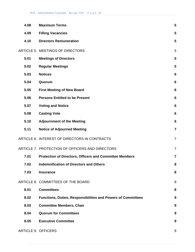| 4.08 | <b>Maximum Terms</b>                                                | 5                |
|------|---------------------------------------------------------------------|------------------|
| 4.09 | <b>Filling Vacancies</b>                                            | 5                |
| 4.10 | <b>Directors Remuneration</b>                                       | 5                |
|      | ARTICLE 5. MEETINGS OF DIRECTORS                                    | 5                |
| 5.01 | <b>Meetings of Directors</b>                                        | 5                |
| 5.02 | <b>Regular Meetings</b>                                             | 5                |
| 5.03 | <b>Notices</b>                                                      | 6                |
| 5.04 | Quorum                                                              | $6\phantom{1}6$  |
| 5.05 | <b>First Meeting of New Board</b>                                   | $6\phantom{1}6$  |
| 5.06 | <b>Persons Entitled to be Present</b>                               | $6\phantom{1}6$  |
| 5.07 | <b>Voting and Notice</b>                                            | $6\phantom{1}6$  |
| 5.08 | <b>Casting Vote</b>                                                 | $6\phantom{1}6$  |
| 5.10 | <b>Adjournment of the Meeting</b>                                   | $6\phantom{1}6$  |
| 5.11 | <b>Notice of Adjourned Meeting</b>                                  | $\overline{7}$   |
|      | ARTICLE 6. INTEREST OF DIRECTORS IN CONTRACTS                       | $\overline{7}$   |
|      | ARTICLE 7. PROTECTION OF OFFICERS AND DIRECTORS                     | $\overline{7}$   |
| 7.01 | <b>Protection of Directors, Officers and Committee Members</b>      | $\overline{7}$   |
| 7.02 | <b>Indemnification of Directors and Others</b>                      | 8                |
| 7.03 | <b>Insurance</b>                                                    | 8                |
|      | ARTICLE 8. COMMITTEES OF THE BOARD                                  | 8                |
| 8.01 | <b>Committees</b>                                                   | 8                |
| 8.02 | <b>Functions, Duties, Responsibilities and Powers of Committees</b> | 9                |
| 8.03 | <b>Committee Members, Chair</b>                                     | 9                |
| 8.04 | <b>Quorum for Committees</b>                                        | $\boldsymbol{9}$ |
| 8.05 | <b>Executive Committee</b>                                          | $\boldsymbol{9}$ |
|      | ARTICLE 9. OFFICERS                                                 |                  |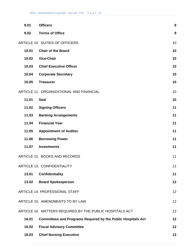| 9.01  | <b>Officers</b>                                              | $\boldsymbol{9}$ |
|-------|--------------------------------------------------------------|------------------|
| 9.02  | <b>Terms of Office</b>                                       | $\boldsymbol{9}$ |
|       | ARTICLE 10. DUTIES OF OFFICERS                               | 10               |
| 10.01 | <b>Chair of the Board</b>                                    | 10               |
| 10.02 | <b>Vice-Chair</b>                                            | 10               |
| 10.03 | <b>Chief Executive Officer</b>                               | 10               |
| 10.04 | <b>Corporate Secretary</b>                                   | 10               |
| 10.05 | <b>Treasurer</b>                                             | 10               |
|       | ARTICLE 11. ORGANIZATIONAL AND FINANCIAL                     | 10               |
| 11.01 | <b>Seal</b>                                                  | 10               |
| 11.02 | <b>Signing Officers</b>                                      | 11               |
| 11.03 | <b>Banking Arrangements</b>                                  | 11               |
| 11.04 | <b>Financial Year</b>                                        | 11               |
| 11.05 | <b>Appointment of Auditor</b>                                | 11               |
| 11.06 | <b>Borrowing Power</b>                                       | 11               |
| 11.07 | <b>Investments</b>                                           | 11               |
|       | ARTICLE 12. BOOKS AND RECORDS                                | 11               |
|       | <b>ARTICLE 13. CONFIDENTIALITY</b>                           | 11               |
| 13.01 | <b>Confidentiality</b>                                       | 11               |
| 13.02 | <b>Board Spokesperson</b>                                    | 12               |
|       | ARTICLE 14. PROFESSIONAL STAFF                               | 12               |
|       | ARTICLE 15. AMENDMENTS TO BY-LAW                             | 12               |
|       | ARTICLE 16. MATTERS REQUIRED BY THE PUBLIC HOSPITALS ACT     | 12               |
| 16.01 | Committees and Programs Required by the Public Hospitals Act | 12               |
| 16.02 | <b>Fiscal Advisory Committee</b>                             | 12               |
| 16.03 | <b>Chief Nursing Executive</b>                               | 13               |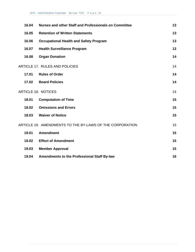| 16.04 | Nurses and other Staff and Professionals on Committee    | 13 |
|-------|----------------------------------------------------------|----|
| 16.05 | <b>Retention of Written Statements</b>                   | 13 |
| 16.06 | <b>Occupational Health and Safety Program</b>            | 13 |
| 16.07 | <b>Health Surveillance Program</b>                       | 13 |
| 16.08 | <b>Organ Donation</b>                                    | 14 |
|       | <b>ARTICLE 17. RULES AND POLICIES</b>                    | 14 |
| 17.01 | <b>Rules of Order</b>                                    | 14 |
| 17.02 | <b>Board Policies</b>                                    | 14 |
|       | <b>ARTICLE 18. NOTICES</b>                               | 14 |
| 18.01 | <b>Computation of Time</b>                               | 15 |
| 18.02 | <b>Omissions and Errors</b>                              | 15 |
| 18.03 | <b>Waiver of Notice</b>                                  | 15 |
|       | ARTICLE 19. AMENDMENTS TO THE BY-LAWS OF THE CORPORATION | 15 |
| 19.01 | <b>Amendment</b>                                         | 15 |
| 19.02 | <b>Effect of Amendment</b>                               | 15 |
| 19.03 | <b>Member Approval</b>                                   | 15 |
| 19.04 | <b>Amendments to the Professional Staff By-law</b>       | 16 |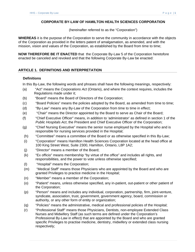# **CORPORATE BY-LAW OF HAMILTON HEALTH SCIENCES CORPORATION**

(hereinafter referred to as the "Corporation")

**WHEREAS** it is the purpose of the Corporation to serve the community in accordance with the objects of the Corporation as provided in the letters patent of amalgamation, as amended, and with the mission, vision and values of the Corporation, as established by the Board from time to time;

**NOW THEREFORE BE IT ENACTED** that the Corporate By-Law 5 of the Corporation heretofore enacted be canceled and revoked and that the following Corporate By-Law be enacted:

# **ARTICLE 1. DEFINITIONS AND INTERPRETATION**

# **Definitions**

In this By-Law, the following words and phrases shall have the following meanings, respectively:

- (a) "Act" means the *Corporations Act* (Ontario), and where the context requires, includes the Regulations made under it;
- (b) "Board" means the Board of Directors of the Corporation;
- (c) "Board Policies" means the policies adopted by the Board, as amended from time to time;
- (d) "By-Law" means any By-Law of the Corporation from time to time in effect;
- (e) "Chair" means the Director appointed by the Board to serve as Chair of the Board;
- (f) "Chief Executive Officer" means, in addition to 'administrator' as defined in section 1 of the *Public Hospitals Act*, the President and Chief Executive Officer of the Corporation;
- (g) "Chief Nursing Executive" means the senior nurse employed by the Hospital who and is responsible for nursing services provided in the Hospital;
- (h) "Committee" means a committee of the Board or as otherwise specified in this By-Law;
- (i) "Corporation" means Hamilton Health Sciences Corporation located at the head office at 100 King Street West, Suite 2300, Hamilton, Ontario, L8P 1A2;
- (j) "Director" means a member of the Board;
- (k) "Ex officio" means membership "by virtue of the office" and includes all rights, and responsibilities, and the power to vote unless otherwise specified;
- (l) "Hospital" means the Corporation;
- (m) "Medical Staff" means those Physicians who are appointed by the Board and who are granted Privileges to practice medicine in the Hospital;
- (n) "Member" means a member of the Corporation;
- (o) "Patient" means, unless otherwise specified, any in-patient, out-patient or other patient of the Corporation;
- (p) "Person" means and includes any individual, corporation, partnership, firm, joint-venture, syndicate, association, trust, government, government agency, board, commission or authority, or any other form of entity or organization;
- (q) "Policies" means the administrative, medical and professional policies of the Hospital;
- (r) "Professional Staff" means those Physicians, Dentists, non-employee Extended Class Nurses and Midwifery Staff (as such terms are defined under the Corporation's Professional By-Law in effect) that are appointed by the Board and who are granted specific Privileges to practise medicine, dentistry, midwifery or extended class nursing respectively;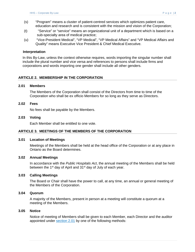- (s) "Program" means a cluster of patient-centred services which optimizes patient care, education and research and is consistent with the mission and vision of the Corporation;
- (t) "Service" or "service" means an organizational unit of a department which is based on a sub-specialty area of medical practice;
- (u) "Vice-President Medical", "VP Medical", "VP Medical Affairs" and "VP Medical Affairs and Quality" means Executive Vice President & Chief Medical Executive.

#### **Interpretation**

In this By-Law, unless the context otherwise requires, words importing the singular number shall include the plural number and vice versa and references to persons shall include firms and corporations and words importing one gender shall include all other genders.

# **ARTICLE 2. MEMBERSHIP IN THE CORPORATION**

#### **2.01 Members**

The Members of the Corporation shall consist of the Directors from time to time of the Corporation who shall be ex officio Members for so long as they serve as Directors.

#### **2.02 Fees**

No fees shall be payable by the Members.

#### **2.03 Voting**

Each Member shall be entitled to one vote.

#### **ARTICLE 3. MEETINGS OF THE MEMBERS OF THE CORPORATION**

#### **3.01 Location of Meetings**

Meetings of the Members shall be held at the head office of the Corporation or at any place in Ontario as the Board determines.

#### **3.02 Annual Meetings**

In accordance with the *Public Hospitals Act*, the annual meeting of the Members shall be held between the 1<sup>st</sup> day of April and 31<sup>st</sup> day of July of each year.

#### **3.03 Calling Meetings**

The Board or Chair shall have the power to call, at any time, an annual or general meeting of the Members of the Corporation.

### **3.04 Quorum**

A majority of the Members, present in person at a meeting will constitute a quorum at a meeting of the Members.

#### **3.05 Notice**

Notice of meeting of Members shall be given to each Member, each Director and the auditor appointed under section 2.01 by one of the following methods: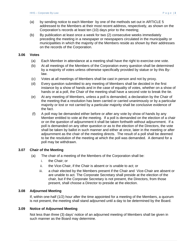- (a) by sending notice to each Member by one of the methods set out in ARTICLE 5 addressed to the Members at their most recent address, respectively, as shown on the Corporation's records at least ten (10) days prior to the meeting;
- (b) By publication at least once a week for two (2) consecutive weeks immediately preceding the meeting in a newspaper or newspapers circulated in the municipality or municipalities in which the majority of the Members reside as shown by their addresses on the records of the Corporation.

### **3.06 Votes**

- (a) Each Member in attendance at a meeting shall have the right to exercise one vote.
- (b) At all meetings of the Members of the Corporation every question shall be determined by a majority of votes unless otherwise specifically provided by statue or by this Bylaw.
- (c) Votes at all meetings of Members shall be cast in person and not by proxy.
- (d) Every question submitted to any meeting of Members shall be decided in the first instance by a show of hands and in the case of equality of votes, whether on a show of hands or at a poll, the Chair of the meeting shall have a second vote to break the tie.
- (e) At any meeting of Members, unless a poll is demanded, a declaration by the Chair of the meeting that a resolution has been carried or carried unanimously or by a particular majority or lost or not carried by a particular majority shall be conclusive evidence of the fact.
- (f) A poll may be demanded either before or after any vote by show of hands by any Member entitled to vote at the meeting. If a poll is demanded on the election of a chair or on the question of adjournment it shall be taken forthwith without adjournment. If a poll is demanded on any other question or as to the election of the Directors, the vote shall be taken by ballot in such manner and either at once, later in the meeting or after adjournment as the chair of the meeting directs. The result of a poll shall be deemed to be the resolution of the meeting at which the poll was demanded. A demand for a poll may be withdrawn.

# **3.07 Chair of the Meeting**

- (a) The chair of a meeting of the Members of the Corporation shall be:
	- i. the Chair; or
	- ii. the Vice-Chair, if the Chair is absent or is unable to act; or
	- iii. a chair elected by the Members present if the Chair and Vice-Chair are absent or are unable to act. The Corporate Secretary shall preside at the election of the chair, but if the Corporate Secretary is not present, the Directors, from those present, shall choose a Director to preside at the election.

#### **3.08 Adjourned Meeting**

If, within one-half (1/2) hour after the time appointed for a meeting of the Members, a quorum is not present, the meeting shall stand adjourned until a day to be determined by the Board.

#### **3.09 Notice of Adjourned Meeting**

Not less than three (3) days' notice of an adjourned meeting of Members shall be given in such manner as the Board may determine.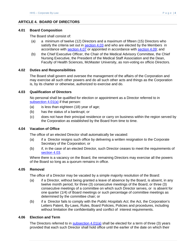# **ARTICLE 4. BOARD OF DIRECTORS**

#### **4.01 Board Composition**

The Board shall consist of:

- (a) a minimum of twelve (12) Directors and a maximum of fifteen (15) Directors who satisfy the criteria set out in section 4.03 and who are elected by the Members in accordance with section 4.07 or appointed in accordance with section 4.09; and
- (b) the Chief Executive Officer, the Chair of the Medical Advisory Committee, the Chief Nursing Executive, the President of the Medical Staff Association and the Dean, Faculty of Health Sciences, McMaster University, as non-voting ex officio Directors.

# **4.02 Duties and Responsibilities**

The Board shall govern and oversee the management of the affairs of the Corporation and may exercise all such other powers and do all such other acts and things as the Corporation is, by its charter or otherwise, authorized to exercise and do.

# **4.03 Qualification of Directors**

No personal shall be qualified for election or appointment as a Director referred to in subsection 4.01(a) if that person:

- (a) is less than eighteen (18) year of age;
- (b) has the status of a bankrupt; or
- (c) does not have their principal residence or carry on business within the region served by the Corporation as established by the Board from time to time.

#### **4.04 Vacation of Office**

The office of an elected Director shall automatically be vacated:

- (a) if a Director resigns such office by delivering a written resignation to the Corporate Secretary of the Corporation; or
- (b) if, in the case of an elected Director, such Director ceases to meet the requirements of section 4.03.

Where there is a vacancy on the Board, the remaining Directors may exercise all the powers of the Board so long as a quorum remains in office.

#### **4.05 Removal**

The office of a Director may be vacated by a simple majority resolution of the Board:

- (a) if a Director, without being granted a leave of absence by the Board, is absent, in any twelve month period, for three (3) consecutive meetings of the Board, or three (3) consecutive meetings of a committee on which such Director serves, or is absent for one quarter (1/4) of Board meetings or such percentage of committee meetings as determined by the committee chair; or
- (b) if a Director fails to comply with the *Public Hospitals Act*, the Act, the Corporation's Letters Patent, By-Laws, Rules, Board Policies, Policies and procedures, including without limitation the confidentiality and conflict of interest requirements.

### **4.06 Election and Term**

The Directors referred to in subsection  $4.01(a)$  shall be elected for a term of three (3) years provided that each such Director shall hold office until the earlier of the date on which their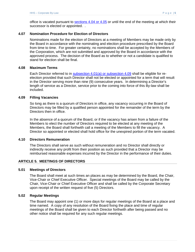office is vacated pursuant to sections 4.04 or 4.05 or until the end of the meeting at which their successor is elected or appointed...

# **4.07 Nomination Procedure for Election of Directors**

Nominations made for the election of Directors at a meeting of Members may be made only by the Board in accordance with the nominating and election procedure prescribed by the Board from time to time. For greater certainty, no nominations shall be accepted by the Members of the Corporation, which are not submitted and approved by the Board in accordance with the approved process. The decision of the Board as to whether or not a candidate is qualified to stand for election shall be final.

# **4.08 Maximum Terms**

Each Director referred to in subsection 4.01(a) or subsection 4.09 shall be eligible for reelection provided that such Director shall not be elected or appointed for a term that will result in the Director serving more than nine (9) consecutive years. In determining a Director's length of service as a Director, service prior to the coming into force of this By-law shall be included.

# **4.09 Filling Vacancies**

So long as there is a quorum of Directors in office, any vacancy occurring in the Board of Directors may be filled by a qualified person appointed for the remainder of the term by the Directors then in office.

In the absence of a quorum of the Board, or if the vacancy has arisen from a failure of the Members to elect the number of Directors required to be elected at any meeting of the Members, the Board shall forthwith call a meeting of the Members to fill the vacancy. A Director so appointed or elected shall hold office for the unexpired portion of the term vacated.

#### **4.10 Directors Remuneration**

The Directors shall serve as such without remuneration and no Director shall directly or indirectly receive any profit from their position as such provided that a Director may be reimbursed reasonable expenses incurred by the Director in the performance of their duties.

# **ARTICLE 5. MEETINGS OF DIRECTORS**

#### **5.01 Meetings of Directors**

The Board shall meet at such times an places as may be determined by the Board, the Chair, Vice-Chair or Chief Executive Officer. Special meetings of the Board may be called by the Chair, Vice-Chair or Chief Executive Officer and shall be called by the Corporate Secretary upon receipt of the written request of five (5) Directors.

#### **5.02 Regular Meetings**

The Board may appoint one (1) or more days for regular meetings of the Board at a place and time named. A copy of any resolution of the Board fixing the place and time of regular meetings of the Board shall be given to each Director forthwith after being passed and no other notice shall be required for any such regular meetings.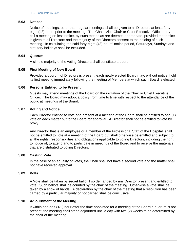#### **5.03 Notices**

Notice of meetings, other than regular meetings, shall be given to all Directors at least fortyeight (48) hours prior to the meeting. The Chair, Vice-Chair or Chief Executive Officer may call a meeting on less notice, by such means as are deemed appropriate, provided that notice is given to all Directors and the majority of the Directors consent to the holding of such meeting. In calculating the said forty-eight (48) hours' notice period, Saturdays, Sundays and statutory holidays shall be excluded.

### **5.04 Quorum**

A simple majority of the voting Directors shall constitute a quorum.

# **5.05 First Meeting of New Board**

Provided a quorum of Directors is present, each newly elected Board may, without notice, hold its first meeting immediately following the meeting of Members at which such Board is elected.

# **5.06 Persons Entitled to be Present**

Guests may attend meetings of the Board on the invitation of the Chair or Chief Executive Officer. The Board may adopt a policy from time to time with respect to the attendance of the public at meetings of the Board.

# **5.07 Voting and Notice**

Each Director entitled to vote and present at a meeting of the Board shall be entitled to one (1) vote on each matter put to the Board for approval. A Director shall not be entitled to vote by proxy.

Any Director that is an employee or a member of the Professional Staff of the Hospital, shall not be entitled to vote at a meeting of the Board but shall otherwise be entitled and subject to all the rights, responsibilities and obligations applicable to voting Directors, including the right to notice of, to attend and to participate in meetings of the Board and to receive the materials that are distributed to voting Directors.

#### **5.08 Casting Vote**

In the case of an equality of votes, the Chair shall not have a second vote and the matter shall not have received approval.

# **5.09 Polls**

A Vote shall be taken by secret ballot if so demanded by any Director present and entitled to vote. Such ballots shall be counted by the chair of the meeting. Otherwise a vote shall be taken by a show of hands. A declaration by the chair of the meeting that a resolution has been carried by a particular majority or not carried shall be conclusive.

# **5.10 Adjournment of the Meeting**

If within one-half (1/2) hour after the time appointed for a meeting of the Board a quorum is not present, the meeting shall stand adjourned until a day with two (2) weeks to be determined by the chair of the meeting.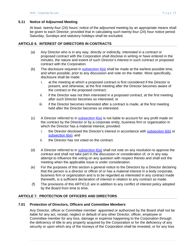# **5.11 Notice of Adjourned Meeting**

At least twenty-four (24) hours' notice of the adjourned meeting by an appropriate means shall be given to each Director; provided that in calculating such twenty-four (24) hour notice period Saturday, Sundays and statutory holidays shall be excluded.

# **ARTICLE 6. INTEREST OF DIRECTORS IN CONTRACTS**

- (a) Any Director who is in any way, directly or indirectly, interested in a contract or proposed contract with the Corporation shall disclose in writing or have entered in the minutes, the nature and extent of such Director's interest in such contract or proposed contract with the Corporation.
- (b) The disclosure required in  $subsection 6(a)$  shall be made at the earliest possible time, and when possible, prior to any discussion and vote on the matter. More specifically, disclosure shall be made:
	- i. at the meeting at which a proposed contract is first considered if the Director is present, and otherwise, at the first meeting after the Director becomes aware of the contract or the proposed contract;
	- ii. if the Director was not then interested in a proposed contract, at the first meeting after such Director becomes so interested; or
	- iii. if the Director becomes interested after a contract is made, at the first meeting held after the Director becomes so interested.
- (c) A Director referred to in subsection  $6(a)$  is not liable to account for any profit made on the contract by the Director or by a corporate entity, business firm or organization in which the Director has a material interest, provided:
	- i. the Director disclosed the Director's interest in accordance with subsection  $6(b)$  or subsection 6(e); and
	- ii. the Director has not voted on the contract.
- (d) A Director referred to in subsection  $6(a)$  shall not vote on any resolution to approve the contract and shall not take part in the discussion or consideration of, or in any way attempt to influence the voting on any question with respect thereto and shall exit the meeting when the applicable issue is under consideration.
- (e) For the purposes of this section a general notice to the Directors by a Director declaring that the person is a director or officer of or has a material interest in a body corporate, business firm or organization and is to be regarded as interested in any contract made therewith, is a sufficient declaration of interest in relation to any contract so made.
- (f) The provisions of this ARTICLE are in addition to any conflict of interest policy adopted by the Board from time to time.

# **ARTICLE 7. PROTECTION OF OFFICERS AND DIRECTORS**

# **7.01 Protection of Directors, Officers and Committee Members**

Any Director, officer or Committee member appointed or authorized by the Board shall not be liable for any act, receipt, neglect or default of any other Director, officer, employee or Committee member for any loss, damage or expense happening to the Corporation through the deficiency of title to any property acquired by the Corporation or for the deficiency of any security or upon which any of the moneys of the Corporation shall be invested, or for any loss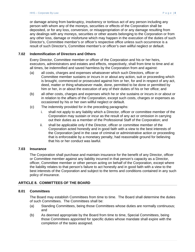or damage arising from bankruptcy, insolvency or tortious act of any person including any person with whom any of the moneys, securities or effects of the Corporation shall be deposited, or for any loss, conversion, or misappropriation of or any damage resulting from any dealings with any moneys, securities or other assets belonging to the Corporation or from any other loss, damage or misfortune which may happen in the execution of the duties of such Director's, Committee member's or officer's respective office unless such occurrence is a result of such Director's, Committee member's or officer's own willful neglect or default.

# **7.02 Indemnification of Directors and Others**

Every Director, Committee member or officer of the Corporation and his or her heirs, executors, administrators and estates and effects, respectively, shall from time to time and at all times, be indemnified and saved harmless by the Corporation from and against:

- (a) all costs, charges and expenses whatsoever which such Directors, officer or Committee member sustains or incurs in or about any action, suit or proceeding which is brought, commenced or prosecuted against him or her, for and in respect of any act, deed, matter or thing whatsoever made, done, permitted to be done or permitted by him or her, in or about the execution of any of their duties of his or her office; and
- (b) all other costs, charges and expenses which he or she sustains or incurs in or about or in relation to the affairs of the Corporation, except such costs, charges or expenses as occasioned by his or her own willful neglect or default.
- (c) The indemnity provided for in the preceding paragraphs:
	- i. shall not apply to any liability which a Director, officer or committee member of the Corporation may sustain or incur as the result of any act or omission in carrying out their duties as a member of the Professional Staff of the Corporation; and
	- ii. shall be applicable only if the Director, officer or committee member of the Corporation acted honestly and in good faith with a view to the best interests of the Corporation [and in the case of criminal or administrative action or proceeding that is enforceable by a monetary penalty, had reasonable ground for believing that his or her conduct was lawful.

# **7.03 Insurance**

The Corporation shall purchase and maintain insurance for the benefit of any Director, officer or Committee member against any liability incurred in that person's capacity as a Director, officer, Committee member or other person acting on behalf of the Corporation, except where the liability relates to that person's failure to act honestly and in good faith with a view to the best interests of the Corporation and subject to the terms and conditions contained in any such policy of insurance.

# **ARTICLE 8. COMMITTEES OF THE BOARD**

# **8.01 Committees**

The Board may establish Committees from time to time. The Board shall determine the duties of such Committees. The Committees shall be:

- (a) Standing Committees, being those Committees whose duties are normally continuous; and
- (b) As deemed appropriate by the Board from time to time, Special Committees, being those Committees appointed for specific duties whose mandate shall expire with the completion of the tasks assigned.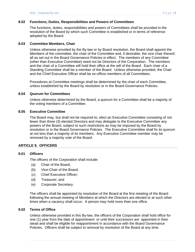#### **8.02 Functions, Duties, Responsibilities and Powers of Committees**

The functions, duties, responsibilities and powers of Committees shall be provided in the resolution of the Board by which such Committee is established or in terms of reference adopted by the Board.

#### **8.03 Committee Members, Chair**

Unless otherwise provided by the By-law or by Board resolution, the Board shall appoint the Members of the committee, the chair of the Committee and, if desirable, the vice chair thereof, all as set out in the Board Governance Policies in effect. The members of any Committee (other than Executive Committee) need not be Directors of the Corporation. The members and the chair of a Committee will hold their office at the will of the Board. Each chair of a Standing Committee shall be a member of the Board. Unless otherwise provided, the Chair and the Chief Executive Officer shall be ex-officio members of all Committees.

Procedures at Committee meetings shall be determined by the chair of each Committee, unless established by the Board by resolution or in the Board Governance Policies.

#### **8.04 Quorum for Committees**

Unless otherwise determined by the Board, a quorum for a Committee shall be a majority of the voting members of a Committee.

#### **8.05 Executive Committee**

The Board may, but shall not be required to, elect an Executive Committee consisting of not fewer than three (3) elected Directors and may delegate to the Executive Committee any powers of the Board, subject to such restrictions as may be imposed by the Board by resolution or in the Board Governance Policies. The Executive Committee shall fix its quorum at not less than a majority of its members. Any Executive Committee member may be removed by a majority vote of the Board.

#### **ARTICLE 9. OFFICERS**

#### **9.01 Officers**

The officers of the Corporation shall include:

- (a) Chair of the Board;
- (b) Vice-Chair of the Board;
- (c) Chief Executive Officer;
- (d) Treasurer; and
- (e) Corporate Secretary.

The officers shall be appointed by resolution of the Board at the first meeting of the Board following the annual meeting of Members at which the Directors are elected or at such other times when a vacancy shall occur. A person may hold more than one office.

#### **9.02 Terms of Office**

Unless otherwise provided in this By-law, the officers of the Corporation shall hold office for one (1) year from the date of appointment or until their successors are appointed in their stead and shall be eligible for reappointment in accordance with the Board Governance Policies. Officers shall be subject to removal by resolution of the Board at any time.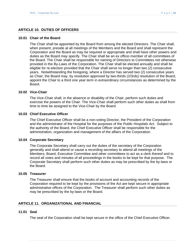#### **ARTICLE 10. DUTIES OF OFFICERS**

#### **10.01 Chair of the Board**

The Chair shall be appointed by the Board from among the elected Directors. The Chair shall, when present, preside at all meetings of the Members and the Board and shall represent the Corporation and the Board as may be required or appropriate and shall have other powers and duties as the Board may specify. The Chair shall be an ex officio member of all committees of the Board. The Chair shall be responsible for naming of Directors to Committees not otherwise provided in the By-Laws of the Corporation. The Chair shall be elected annually and shall be eligible for re-election provided that the Chair shall serve no longer than two (2) consecutive years. Notwithstanding the foregoing, where a Director has served two (2) consecutive years as Chair, the Board may, by resolution approved by two-thirds (2/3rds) resolution of the Board, appoint the Chair to a third one year term in extraordinary circumstances as determined by the Board.

#### **10.02 Vice-Chair**

The Vice-Chair shall, in the absence or disability of the Chair, perform such duties and exercise the powers of the Chair. The Vice-Chair shall perform such other duties as shall from time to time be assigned to the Vice-Chair by the Board.

#### **10.03 Chief Executive Officer**

The Chief Executive Officer shall be a non-voting Director, the President of the Corporation and the administrator of the Hospital for the purposes of the *Public Hospitals Act.* Subject to the authority of the Board, the Chief Executive Officer shall be responsible for the administration, organization and management of the affairs of the Corporation.

#### **10.04 Corporate Secretary**

The Corporate Secretary shall carry out the duties of the secretary of the Corporation generally and shall attend or cause a recording secretary to attend all meetings of the Members, Board, Executive Committee and other committees to act as a clerk thereof and to record all votes and minutes of all proceedings in the books to be kept for that purpose. The Corporate Secretary shall perform such other duties as may be prescribed by the by-laws or the Board.

# **10.05 Treasurer**

The Treasurer shall ensure that the books of account and accounting records of the Corporation required to be kept by the provisions of the Act are kept secure in appropriate administrative offices of the Corporation. The Treasurer shall perform such other duties as may be prescribed by the by-laws or the Board.

#### **ARTICLE 11. ORGANIZATIONAL AND FINANCIAL**

#### **11.01 Seal**

The seal of the Corporation shall be kept secure in the office of the Chief Executive Officer.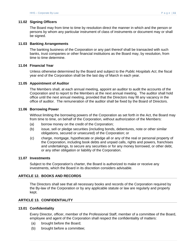# **11.02 Signing Officers**

The Board may from time to time by resolution direct the manner in which and the person or persons by whom any particular instrument of class of instruments or document may or shall be signed.

### **11.03 Banking Arrangements**

The banking business of the Corporation or any part thereof shall be transacted with such banks, trust companies or other financial institutions as the Board may, by resolution, from time to time determine.

# **11.04 Financial Year**

Unless otherwise determined by the Board and subject to the *Public Hospitals Act*, the fiscal year end of the Corporation shall be the last day of March in each year.

# **11.05 Appointment of Auditor**

The Members shall, at each annual meeting, appoint an auditor to audit the accounts of the Corporation and to report to the Members at the next annual meeting. The auditor shall hold office until the next annual meeting, provided that the Directors may fill any vacancy in the office of auditor. The remuneration of the auditor shall be fixed by the Board of Directors.

# **11.06 Borrowing Power**

Without limiting the borrowing powers of the Corporation as set forth in the Act, the Board may from time to time, on behalf of the Corporation, without authorization of the Members:

- (a) borrow money on the credit of the Corporation;
- (b) issue, sell or pledge securities (including bonds, debentures, note or other similar obligations, secured or unsecured) of the Corporation; or
- (c) charge, mortgage, hypothecate or pledge all or any of the real or personal property of the Corporation, including book debts and unpaid calls, rights and powers, franchises and undertakings, to secure any securities or for any money borrowed, or other debt, or any other obligation or liability of the Corporation.

#### **11.07 Investments**

Subject to the Corporation's charter, the Board is authorized to make or receive any investments, which the Board in its discretion considers advisable.

# **ARTICLE 12. BOOKS AND RECORDS**

The Directors shall see that all necessary books and records of the Corporation required by the By-law of the Corporation or by any applicable statute or law are regularly and properly kept.

# **ARTICLE 13. CONFIDENTIALITY**

#### **13.01 Confidentiality**

Every Director, officer, member of the Professional Staff, member of a committee of the Board, employee and agent of the Corporation shall respect the confidentiality of matters:

- (a) brought before the Board;
- (b) brought before a committee;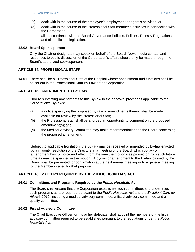- (c) dealt with in the course of the employee's employment or agent's activities; or
- (d) dealt with in the course of the Professional Staff member's activities in connection with the Corporation,

all in accordance with the Board Governance Policies, Policies, Rules & Regulations and all applicable legislation.

### **13.02 Board Spokesperson**

Only the Chair or designate may speak on behalf of the Board. News media contact and responses to public discussion of the Corporation's affairs should only be made through the Board's authorized spokesperson.

# **ARTICLE 14. PROFESSIONAL STAFF**

**14.01** There shall be a Professional Staff of the Hospital whose appointment and functions shall be as set out in the Professional Staff By-Law of the Corporation.

# **ARTICLE 15. AMENDMENTS TO BY-LAW**

Prior to submitting amendments to this By-law to the approval processes applicable to the Corporation's By-laws:

- (a) a notice specifying the proposed By-law or amendments thereto shall be made available for review by the Professional Staff;
- (b) the Professional Staff shall be afforded an opportunity to comment on the proposed amendment(s); and
- (c) the Medical Advisory Committee may make recommendations to the Board concerning the proposed amendment.

Subject to applicable legislation, the By-law may be repealed or amended by by-law enacted by a majority resolution of the Directors at a meeting of the Board, which by-law or amendment has full force and effect from the time the motion was passed or from such future time as may be specified in the motion. A by-law or amendment to the By-law passed by the Board shall be presented for confirmation at the next annual meeting or to a general meeting of the Members called for that purpose.

# **ARTICLE 16. MATTERS REQUIRED BY THE PUBLIC HOSPITALS ACT**

# **16.01 Committees and Programs Required by the** *Public Hospitals Act*

The Board shall ensure that the Corporation establishes such committees and undertakes such programs as are required pursuant to the *Public Hospitals Act* and the *Excellent Care for All Act, 2010*, including a medical advisory committee, a fiscal advisory committee and a quality committee.

# **16.02 Fiscal Advisory Committee**

The Chief Executive Officer, or his or her delegate, shall appoint the members of the fiscal advisory committee required to be established pursuant to the regulations under the *Public Hospitals Act*.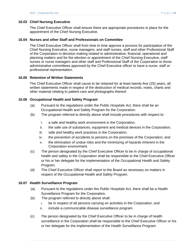# **16.03 Chief Nursing Executive**

The Chief Executive Officer shall ensure there are appropriate procedures in place for the appointment of the Chief Nursing Executive.

# **16.04 Nurses and other Staff and Professionals on Committee**

The Chief Executive Officer shall from time to time approve a process for participation of the Chief Nursing Executive, nurse managers, and staff nurses, staff and other Professional Staff of the Corporation in decision making related to administrative, financial, operational and planning matters and for the election or appointment of the Chief Nursing Executive, staff nurses or nurse managers and other staff and Professional Staff of the Corporation to those administrative committees approved by the Chief Executive officer to have a nurse, staff or professional representation.

#### **16.05 Retention of Written Statements**

The Chief Executive Officer shall cause to be retained for at least twenty-five (25) years, all written statements made in respect of the destruction of medical records, notes, charts and other material relating to patient care and photographs thereof.

# **16.06 Occupational Health and Safety Program**

- (a) Pursuant to the regulations under the *Public Hospitals Act*, there shall be an Occupational Health and Safety Program for the Corporation.
- (b) The program referred to directly above shall include procedures with respect to:
	- i. a safe and healthy work environment in the Corporation;
	- ii. the safe use of substances, equipment and medical devices in the Corporation;
	- iii. safe and healthy work practices in the Corporation;
	- iv. the prevention of accidents to persons on the premises of the Corporation; and
	- v. the elimination of undue risks and the minimizing of hazards inherent in the Corporation environment.
- (c) The person designated by the Chief Executive Officer to be in charge of occupational health and safety in the Corporation shall be responsible to the Chief Executive Officer or his or her delegate for the implementation of the Occupational Health and Safety Program.
- (d) The Chief Executive Officer shall report to the Board as necessary on matters in respect of the Occupational Health and Safety Program.

#### **16.07 Health Surveillance Program**

- (a) Pursuant to the regulations under the *Public H*ospitals Act, there shall be a Health Surveillance Program for the Corporation.
- (b) The program referred to directly above shall:
	- i. be in respect of all persons carrying on activities in the Corporation, and
	- ii. include a communicable disease surveillance program.
- (c) The person designated by the Chief Executive Officer to be in charge of health surveillance in the Corporation shall be responsible to the Chief Executive Officer or his or her delegate for the implementation of the Health Surveillance Program.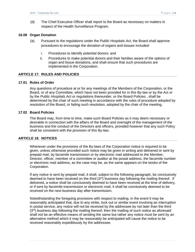(d) The Chief Executive Officer shall report to the Board as necessary on matters in respect of the Health Surveillance Program.

# **16.08 Organ Donation**

- (a) Pursuant to the regulations under the *Public Hospitals Act*, the Board shall approve procedures to encourage the donation of organs and tissues included:
	- i. Procedures to identify potential donors; and
	- ii. Procedures to make potential donors and their families aware of the options of organ and tissue donations, and shall ensure that such procedures are implemented in the Corporation.

# **ARTICLE 17. RULES AND POLICIES**

#### **17.01 Rules of Order**

Any questions of procedure at or for any meetings of the Members of the Corporation, or the Board, or of any Committee, which have not been provided for in this By-law or by the Act or by the *Public Hospitals Act* or regulations thereunder, or the Board Policies , shall be determined by the chair of such meeting in accordance with the rules of procedure adopted by resolution of the Board, or failing such resolution, adopted by the chair of the meeting.

#### **17.02 Board Policies**

The Board may, from time to time, make such Board Policies as it may deem necessary or desirable in connection with the affairs of the Board and oversight of the management of the business and the conduct of the Directors and officers, provided however that any such Policy shall be consistent with the provision of this By-law.

# **ARTICLE 18. NOTICES**

Whenever under the provisions of the By-laws of the Corporation notice is required to be given, unless otherwise provided such notice may be given in writing and delivered or sent by prepaid mail, by facsimile transmission or by electronic mail addressed to the Member, Director, officer, member of a committee or auditor at the postal address, the facsimile number or electronic mail address, as the case may be, as the same appears on the books of the Corporation.

If any notice is sent by prepaid mail, it shall, subject to the following paragraph, be conclusively deemed to have been received on the third  $(3<sup>rd</sup>)$  business day following the mailing thereof. If delivered, a notice shall be conclusively deemed to have been received at the time of delivery, or if sent by facsimile transmission or electronic mail, it shall be conclusively deemed to be received on the next business day after transmission.

Notwithstanding the foregoing provisions with respect to mailing, in the event it may be reasonably anticipated that, due to any strike, lock out or similar event involving an interruption in postal service, any notice will not be received by the addressee by not later than the third (3rd) business day following the mailing thereof, then the mailing of such notice as aforesaid shall not be an effective means of sending the same but rather any notice must be sent by an alternative method which it may be reasonably be anticipated will cause the notice to be received reasonably expeditiously by the addressee.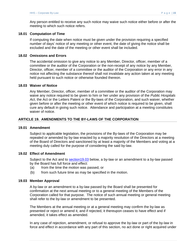Any person entitled to receive any such notice may waive such notice either before or after the meeting to which such notice refers.

### **18.01 Computation of Time**

If computing the date when notice must be given under the provision requiring a specified number of days' notice of any meeting or other event, the date of giving the notice shall be excluded and the date of the meeting or other event shall be included.

#### **18.02 Omissions and Errors**

The accidental omission to give any notice to any Member, Director, officer, member of a committee or the auditor of the Corporation or the non-receipt of any notice by any Member, Director, officer, member of a committee or the auditor of the Corporation or any error in any notice not affecting the substance thereof shall not invalidate any action taken at any meeting held pursuant to such notice or otherwise founded thereon.

#### **18.03 Waiver of Notice**

Any Member, Director, officer, member of a committee or the auditor of the Corporation may waive any notice required to be given to him or her under any provision of the *Public Hospitals Act*, the Act or the Letters Patent or the By-laws of the Corporation, and such waiver, whether given before or after the meeting or other event of which notice is required to be given, shall cure any default in giving such notice. Attendance and participation at a meeting constitutes waiver of notice.

# **ARTICLE 19. AMENDMENTS TO THE BY-LAWS OF THE CORPORATION**

#### **19.01 Amendment**

Subject to applicable legislation, the provisions of the By-laws of the Corporation may be repealed or amended by by-law enacted by a majority resolution of the Directors at a meeting of the Board of Directors and sanctioned by at least a majority of the Members and voting at a meeting duly called for the purpose of considering the said by-law.

#### **19.02 Effect of Amendment**

Subject to the Act and to section19.03 below, a by-law or an amendment to a by-law passed by the Board has full force and effect:

- (a) from the time the motion was passed, or
- (b) from such future time as may be specified in the motion.

#### **19.03 Member Approval**

A by-law or an amendment to a by-law passed by the Board shall be presented for confirmation at the next annual meeting or to a general meeting of the Members of the Corporation called for that purpose. The notice of such annual meeting or general meeting shall refer to the by-law or amendment to be presented.

The Members at the annual meeting or at a general meeting may confirm the by-law as presented or reject or amend it, and if rejected, it thereupon ceases to have effect and if amended, it takes effect as amended.

In any case of rejection, amendment, or refusal to approve the by-law or part of the by-law in force and effect in accordance with any part of this section, no act done or right acquired under